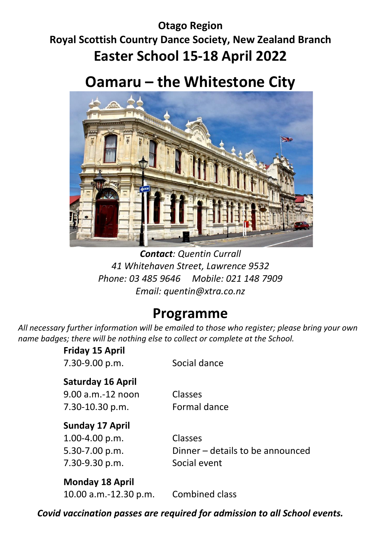## **Otago Region Royal Scottish Country Dance Society, New Zealand Branch Easter School 15-18 April 2022**

# **Oamaru – the Whitestone City**



*Contact: Quentin Currall 41 Whitehaven Street, Lawrence 9532 Phone: 03 485 9646 Mobile: 021 148 7909 Email: quentin@xtra.co.nz*

## **Programme**

*All necessary further information will be emailed to those who register; please bring your own name badges; there will be nothing else to collect or complete at the School.*

> **Friday 15 April** 7.30-9.00 p.m. Social dance

### **Saturday 16 April**

9.00 a.m.-12 noon Classes 7.30-10.30 p.m. Formal dance

### **Sunday 17 April**

1.00-4.00 p.m. Classes 7.30-9.30 p.m. Social event

5.30-7.00 p.m. Dinner – details to be announced

### **Monday 18 April**

10.00 a.m.-12.30 p.m. Combined class

*Covid vaccination passes are required for admission to all School events.*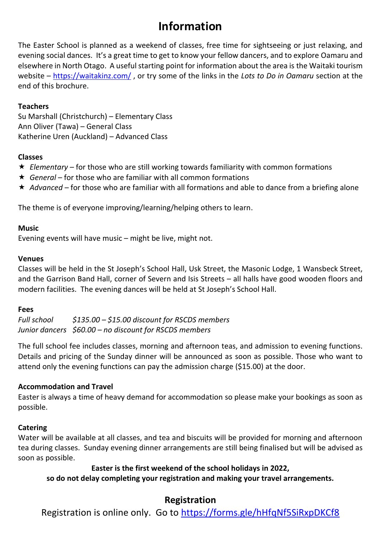## **Information**

The Easter School is planned as a weekend of classes, free time for sightseeing or just relaxing, and evening social dances. It's a great time to get to know your fellow dancers, and to explore Oamaru and elsewhere in North Otago. A useful starting point for information about the area is the Waitaki tourism website – <https://waitakinz.com/> , or try some of the links in the *Lots to Do in Oamaru* section at the end of this brochure.

#### **Teachers**

Su Marshall (Christchurch) – Elementary Class Ann Oliver (Tawa) – General Class Katherine Uren (Auckland) – Advanced Class

#### **Classes**

- *Elementary* for those who are still working towards familiarity with common formations
- *General* for those who are familiar with all common formations
- ★ Advanced for those who are familiar with all formations and able to dance from a briefing alone

The theme is of everyone improving/learning/helping others to learn.

#### **Music**

Evening events will have music – might be live, might not.

#### **Venues**

Classes will be held in the St Joseph's School Hall, Usk Street, the Masonic Lodge, 1 Wansbeck Street, and the Garrison Band Hall, corner of Severn and Isis Streets – all halls have good wooden floors and modern facilities. The evening dances will be held at St Joseph's School Hall.

#### **Fees**

*Full school \$135.00 – \$15.00 discount for RSCDS members Junior dancers \$60.00 – no discount for RSCDS members*

The full school fee includes classes, morning and afternoon teas, and admission to evening functions. Details and pricing of the Sunday dinner will be announced as soon as possible. Those who want to attend only the evening functions can pay the admission charge (\$15.00) at the door.

#### **Accommodation and Travel**

Easter is always a time of heavy demand for accommodation so please make your bookings as soon as possible.

#### **Catering**

Water will be available at all classes, and tea and biscuits will be provided for morning and afternoon tea during classes. Sunday evening dinner arrangements are still being finalised but will be advised as soon as possible.

**Easter is the first weekend of the school holidays in 2022,**

**so do not delay completing your registration and making your travel arrangements.**

#### **Registration**

Registration is online only. Go to<https://forms.gle/hHfqNf5SiRxpDKCf8>